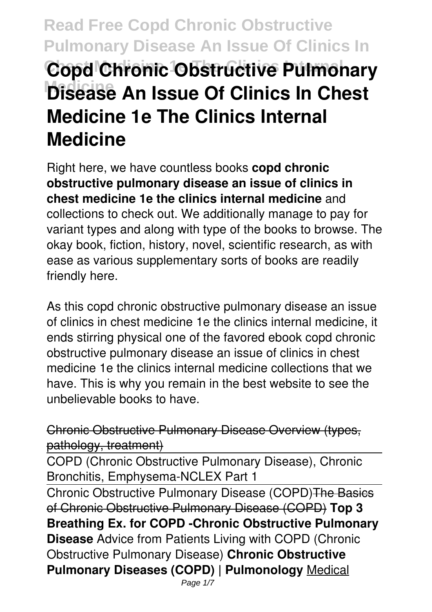# **Read Free Copd Chronic Obstructive Pulmonary Disease An Issue Of Clinics In Copd Chronic Obstructive Pulmonary Medicine Disease An Issue Of Clinics In Chest Medicine 1e The Clinics Internal Medicine**

Right here, we have countless books **copd chronic obstructive pulmonary disease an issue of clinics in chest medicine 1e the clinics internal medicine** and collections to check out. We additionally manage to pay for variant types and along with type of the books to browse. The okay book, fiction, history, novel, scientific research, as with ease as various supplementary sorts of books are readily friendly here.

As this copd chronic obstructive pulmonary disease an issue of clinics in chest medicine 1e the clinics internal medicine, it ends stirring physical one of the favored ebook copd chronic obstructive pulmonary disease an issue of clinics in chest medicine 1e the clinics internal medicine collections that we have. This is why you remain in the best website to see the unbelievable books to have.

Chronic Obstructive Pulmonary Disease Overview (types, pathology, treatment)

COPD (Chronic Obstructive Pulmonary Disease), Chronic Bronchitis, Emphysema-NCLEX Part 1

Chronic Obstructive Pulmonary Disease (COPD)The Basics of Chronic Obstructive Pulmonary Disease (COPD) **Top 3 Breathing Ex. for COPD -Chronic Obstructive Pulmonary Disease** Advice from Patients Living with COPD (Chronic Obstructive Pulmonary Disease) **Chronic Obstructive Pulmonary Diseases (COPD) | Pulmonology** Medical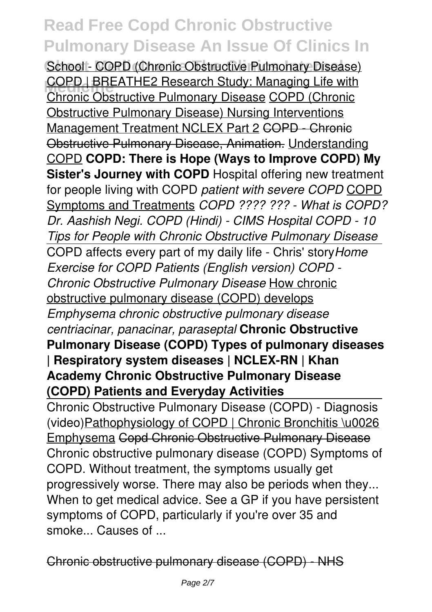School - COPD (Chronic Obstructive Pulmonary Disease) **COPD | BREATHE2 Research Study: Managing Life with**<br>Chronia Chatrustive Bulmanamy Diagoga COPD (Chronia) Chronic Obstructive Pulmonary Disease COPD (Chronic Obstructive Pulmonary Disease) Nursing Interventions Management Treatment NCLEX Part 2 COPD - Chronic Obstructive Pulmonary Disease, Animation. Understanding COPD **COPD: There is Hope (Ways to Improve COPD) My Sister's Journey with COPD** Hospital offering new treatment for people living with COPD *patient with severe COPD* COPD Symptoms and Treatments *COPD ???? ??? - What is COPD? Dr. Aashish Negi. COPD (Hindi) - CIMS Hospital COPD - 10 Tips for People with Chronic Obstructive Pulmonary Disease* COPD affects every part of my daily life - Chris' story*Home Exercise for COPD Patients (English version) COPD - Chronic Obstructive Pulmonary Disease* How chronic obstructive pulmonary disease (COPD) develops *Emphysema chronic obstructive pulmonary disease centriacinar, panacinar, paraseptal* **Chronic Obstructive Pulmonary Disease (COPD) Types of pulmonary diseases | Respiratory system diseases | NCLEX-RN | Khan Academy Chronic Obstructive Pulmonary Disease (COPD) Patients and Everyday Activities**

Chronic Obstructive Pulmonary Disease (COPD) - Diagnosis (video)Pathophysiology of COPD | Chronic Bronchitis \u0026 Emphysema Copd Chronic Obstructive Pulmonary Disease Chronic obstructive pulmonary disease (COPD) Symptoms of COPD. Without treatment, the symptoms usually get progressively worse. There may also be periods when they... When to get medical advice. See a GP if you have persistent symptoms of COPD, particularly if you're over 35 and smoke... Causes of ...

Chronic obstructive pulmonary disease (COPD) - NHS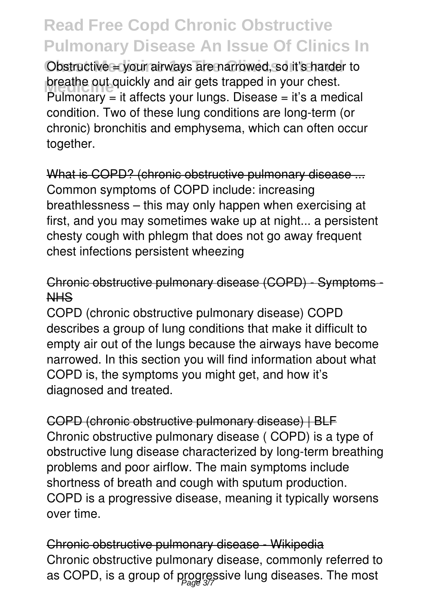Obstructive = your airways are narrowed, so it's harder to **breathe out quickly and air gets trapped in your chest.**<br>Brilmannew it offects your lines. Disases it's a more Pulmonary  $=$  it affects your lungs. Disease  $=$  it's a medical condition. Two of these lung conditions are long-term (or chronic) bronchitis and emphysema, which can often occur together.

What is COPD? (chronic obstructive pulmonary disease ... Common symptoms of COPD include: increasing breathlessness – this may only happen when exercising at first, and you may sometimes wake up at night... a persistent chesty cough with phlegm that does not go away frequent chest infections persistent wheezing

### Chronic obstructive pulmonary disease (COPD) - Symptoms - NHS

COPD (chronic obstructive pulmonary disease) COPD describes a group of lung conditions that make it difficult to empty air out of the lungs because the airways have become narrowed. In this section you will find information about what COPD is, the symptoms you might get, and how it's diagnosed and treated.

COPD (chronic obstructive pulmonary disease) | BLF Chronic obstructive pulmonary disease ( COPD) is a type of obstructive lung disease characterized by long-term breathing problems and poor airflow. The main symptoms include shortness of breath and cough with sputum production. COPD is a progressive disease, meaning it typically worsens over time.

Chronic obstructive pulmonary disease - Wikipedia Chronic obstructive pulmonary disease, commonly referred to as COPD, is a group of progressive lung diseases. The most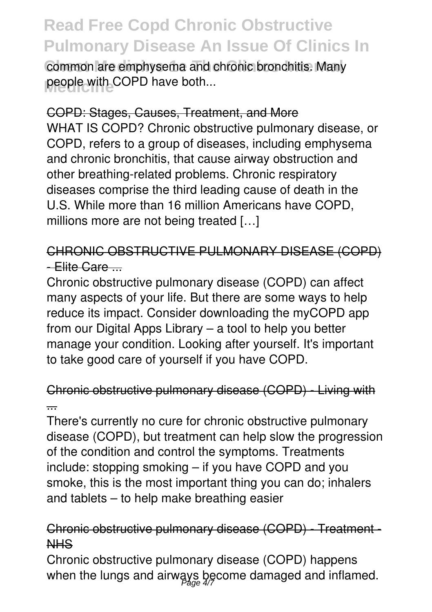common are emphysema and chronic bronchitis. Many people with COPD have both...

#### COPD: Stages, Causes, Treatment, and More

WHAT IS COPD? Chronic obstructive pulmonary disease, or COPD, refers to a group of diseases, including emphysema and chronic bronchitis, that cause airway obstruction and other breathing-related problems. Chronic respiratory diseases comprise the third leading cause of death in the U.S. While more than 16 million Americans have COPD, millions more are not being treated […]

## CHRONIC OBSTRUCTIVE PULMONARY DISEASE (COPD) - Elite Care ...

Chronic obstructive pulmonary disease (COPD) can affect many aspects of your life. But there are some ways to help reduce its impact. Consider downloading the myCOPD app from our Digital Apps Library – a tool to help you better manage your condition. Looking after yourself. It's important to take good care of yourself if you have COPD.

### Chronic obstructive pulmonary disease (COPD) - Living with ...

There's currently no cure for chronic obstructive pulmonary disease (COPD), but treatment can help slow the progression of the condition and control the symptoms. Treatments include: stopping smoking – if you have COPD and you smoke, this is the most important thing you can do; inhalers and tablets – to help make breathing easier

### Chronic obstructive pulmonary disease (COPD) - Treatment - NHS

Chronic obstructive pulmonary disease (COPD) happens when the lungs and airways become damaged and inflamed.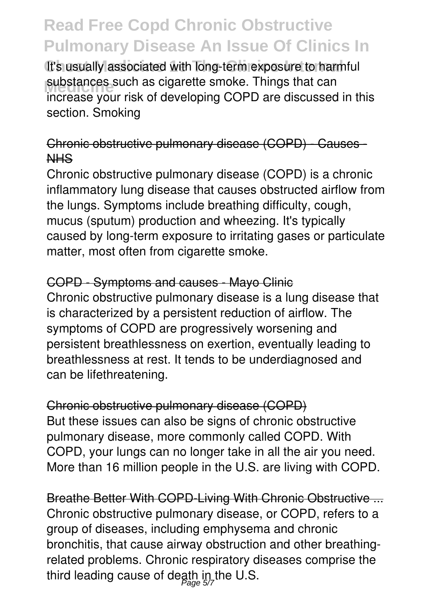It's usually associated with long-term exposure to harmful substances such as cigarette smoke. Things that can<br>increase your right of developing COPD are discussed increase your risk of developing COPD are discussed in this section. Smoking

### Chronic obstructive pulmonary disease (COPD) - Causes - NHS

Chronic obstructive pulmonary disease (COPD) is a chronic inflammatory lung disease that causes obstructed airflow from the lungs. Symptoms include breathing difficulty, cough, mucus (sputum) production and wheezing. It's typically caused by long-term exposure to irritating gases or particulate matter, most often from cigarette smoke.

#### COPD - Symptoms and causes - Mayo Clinic

Chronic obstructive pulmonary disease is a lung disease that is characterized by a persistent reduction of airflow. The symptoms of COPD are progressively worsening and persistent breathlessness on exertion, eventually leading to breathlessness at rest. It tends to be underdiagnosed and can be lifethreatening.

Chronic obstructive pulmonary disease (COPD) But these issues can also be signs of chronic obstructive pulmonary disease, more commonly called COPD. With COPD, your lungs can no longer take in all the air you need. More than 16 million people in the U.S. are living with COPD.

Breathe Better With COPD-Living With Chronic Obstructive ... Chronic obstructive pulmonary disease, or COPD, refers to a group of diseases, including emphysema and chronic bronchitis, that cause airway obstruction and other breathingrelated problems. Chronic respiratory diseases comprise the third leading cause of death in the U.S.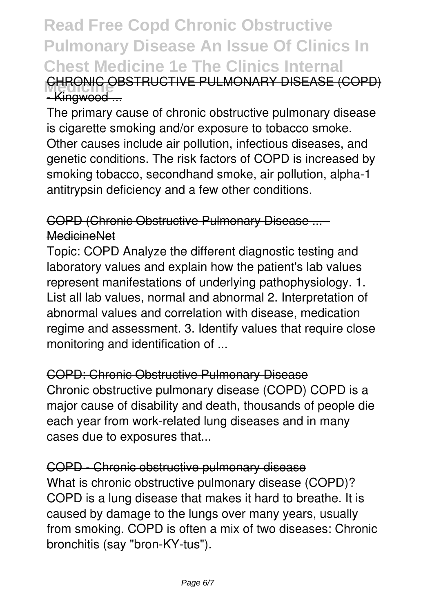## **Read Free Copd Chronic Obstructive Pulmonary Disease An Issue Of Clinics In Chest Medicine 1e The Clinics Internal CHRONIC OBSTRUCTIVE PULMONARY DISEASE (COPD)** -Kingwood ...

The primary cause of chronic obstructive pulmonary disease is cigarette smoking and/or exposure to tobacco smoke. Other causes include air pollution, infectious diseases, and genetic conditions. The risk factors of COPD is increased by smoking tobacco, secondhand smoke, air pollution, alpha-1 antitrypsin deficiency and a few other conditions.

### COPD (Chronic Obstructive Pulmonary Disease ... - MedicineNet

Topic: COPD Analyze the different diagnostic testing and laboratory values and explain how the patient's lab values represent manifestations of underlying pathophysiology. 1. List all lab values, normal and abnormal 2. Interpretation of abnormal values and correlation with disease, medication regime and assessment. 3. Identify values that require close monitoring and identification of ...

COPD: Chronic Obstructive Pulmonary Disease Chronic obstructive pulmonary disease (COPD) COPD is a major cause of disability and death, thousands of people die each year from work-related lung diseases and in many cases due to exposures that...

COPD - Chronic obstructive pulmonary disease What is chronic obstructive pulmonary disease (COPD)? COPD is a lung disease that makes it hard to breathe. It is caused by damage to the lungs over many years, usually from smoking. COPD is often a mix of two diseases: Chronic bronchitis (say "bron-KY-tus").